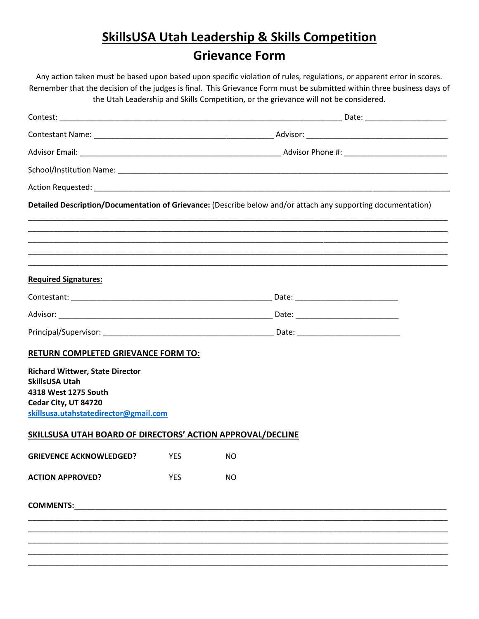## **SkillsUSA Utah Leadership & Skills Competition Grievance Form**

Any action taken must be based upon based upon specific violation of rules, regulations, or apparent error in scores. Remember that the decision of the judges is final. This Grievance Form must be submitted within three business days of the Utah Leadership and Skills Competition, or the grievance will not be considered.

|                                                            |     |           | Detailed Description/Documentation of Grievance: (Describe below and/or attach any supporting documentation) |
|------------------------------------------------------------|-----|-----------|--------------------------------------------------------------------------------------------------------------|
|                                                            |     |           |                                                                                                              |
|                                                            |     |           |                                                                                                              |
|                                                            |     |           |                                                                                                              |
| <b>Required Signatures:</b>                                |     |           |                                                                                                              |
|                                                            |     |           |                                                                                                              |
|                                                            |     |           |                                                                                                              |
|                                                            |     |           |                                                                                                              |
| <b>RETURN COMPLETED GRIEVANCE FORM TO:</b>                 |     |           |                                                                                                              |
| <b>Richard Wittwer, State Director</b>                     |     |           |                                                                                                              |
| <b>SkillsUSA Utah</b><br>4318 West 1275 South              |     |           |                                                                                                              |
| Cedar City, UT 84720                                       |     |           |                                                                                                              |
| skillsusa.utahstatedirector@gmail.com                      |     |           |                                                                                                              |
| SKILLSUSA UTAH BOARD OF DIRECTORS' ACTION APPROVAL/DECLINE |     |           |                                                                                                              |
| GRIEVENCE ACKNOWLEDGED? YES NO                             |     |           |                                                                                                              |
| <b>ACTION APPROVED?</b>                                    | YES | <b>NO</b> |                                                                                                              |
|                                                            |     |           |                                                                                                              |
|                                                            |     |           |                                                                                                              |
|                                                            |     |           |                                                                                                              |
|                                                            |     |           |                                                                                                              |